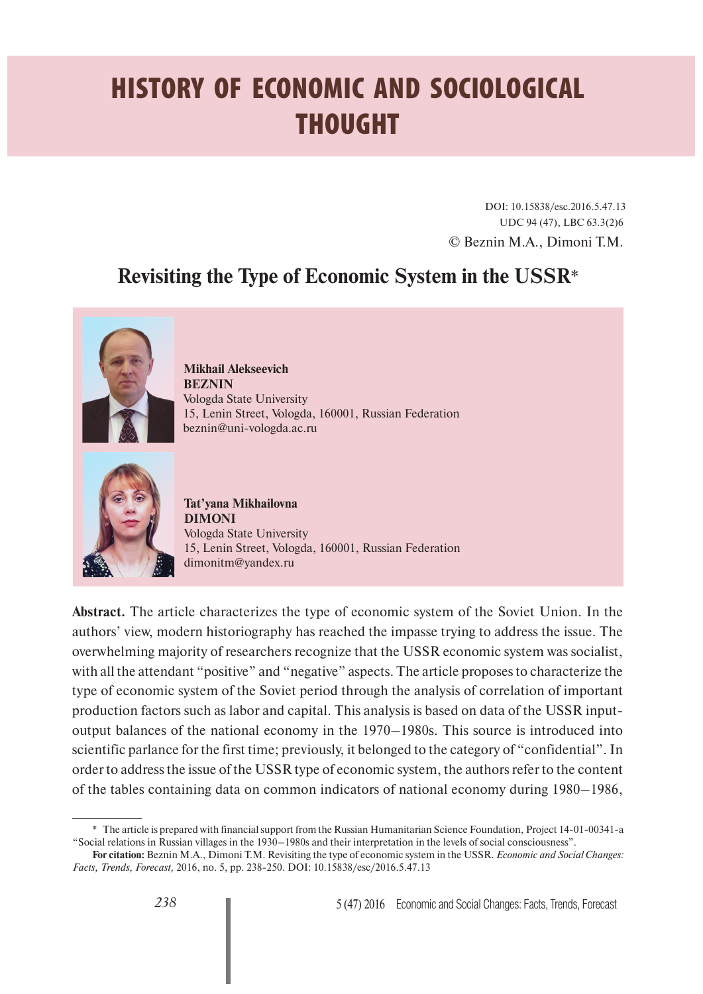## **HISTORY OF ECONOMIC AND SOCIOLOGICAL THOUGHT**

DOI: 10.15838/esc.2016.5.47.13 UDC 94 (47), LBC 63.3(2)6 © Beznin M.A., Dimoni T.M.

## **Revisiting the Type of Economic System in the USSR**\*



**Mikhail Alekseevich BEZNIN** Vologda State University 15, Lenin Street, Vologda, 160001, Russian Federation beznin@uni-vologda.ac.ru



**Tat'yana Mikhailovna DIMONI** Vologda State University 15, Lenin Street, Vologda, 160001, Russian Federation dimonitm@yandex.ru

**Abstract.** The article characterizes the type of economic system of the Soviet Union. In the authors' view, modern historiography has reached the impasse trying to address the issue. The overwhelming majority of researchers recognize that the USSR economic system was socialist, with all the attendant "positive" and "negative" aspects. The article proposes to characterize the type of economic system of the Soviet period through the analysis of correlation of important production factors such as labor and capital. This analysis is based on data of the USSR inputoutput balances of the national economy in the 1970–1980s. This source is introduced into scientific parlance for the first time; previously, it belonged to the category of "confidential". In order to address the issue of the USSR type of economic system, the authors refer to the content of the tables containing data on common indicators of national economy during 1980–1986,

<sup>\*</sup> The article is prepared with financial support from the Russian Humanitarian Science Foundation, Project 14-01-00341-а "Social relations in Russian villages in the 1930–1980s and their interpretation in the levels of social consciousness".

**For citation:** Beznin M.A., Dimoni T.M. Revisiting the type of economic system in the USSR. *Economic and Social Changes: Facts, Trends, Forecast,* 2016, no. 5, pp. 238-250. DOI: 10.15838/esc/2016.5.47.13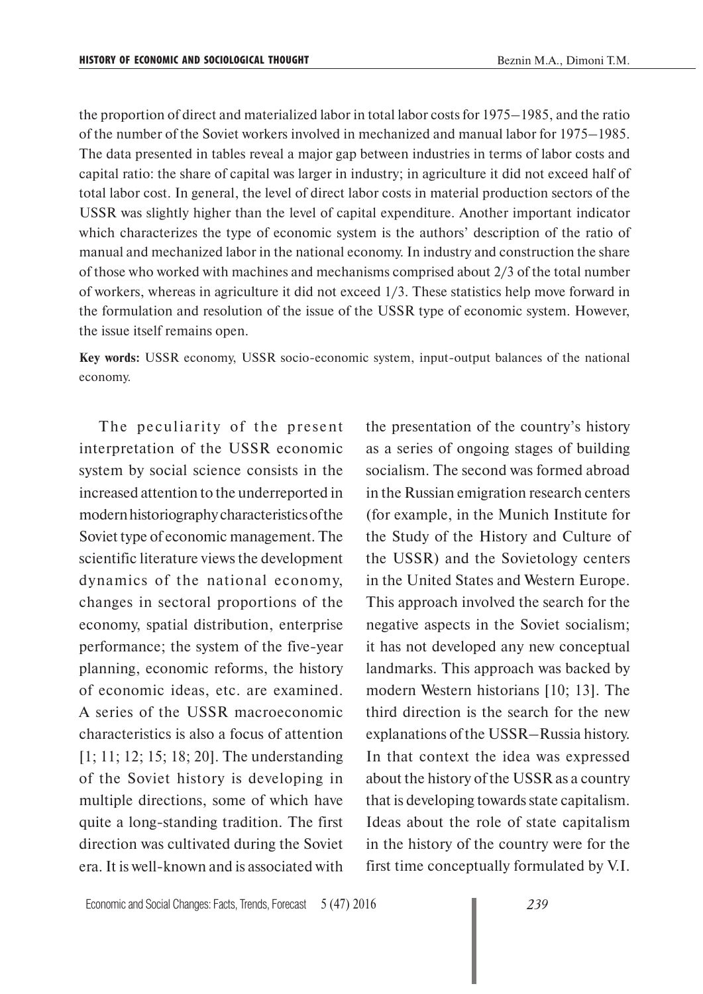the proportion of direct and materialized labor in total labor costs for 1975–1985, and the ratio of the number of the Soviet workers involved in mechanized and manual labor for 1975–1985. The data presented in tables reveal a major gap between industries in terms of labor costs and capital ratio: the share of capital was larger in industry; in agriculture it did not exceed half of total labor cost. In general, the level of direct labor costs in material production sectors of the USSR was slightly higher than the level of capital expenditure. Another important indicator which characterizes the type of economic system is the authors' description of the ratio of manual and mechanized labor in the national economy. In industry and construction the share of those who worked with machines and mechanisms comprised about 2/3 of the total number of workers, whereas in agriculture it did not exceed 1/3. These statistics help move forward in the formulation and resolution of the issue of the USSR type of economic system. However, the issue itself remains open.

**Key words:** USSR economy, USSR socio-economic system, input-output balances of the national economy.

The peculiarity of the present interpretation of the USSR economic system by social science consists in the increased attention to the underreported in modern historiography characteristics of the Soviet type of economic management. The scientific literature views the development dynamics of the national economy, changes in sectoral proportions of the economy, spatial distribution, enterprise performance; the system of the five-year planning, economic reforms, the history of economic ideas, etc. are examined. A series of the USSR macroeconomic characteristics is also a focus of attention [1; 11; 12; 15; 18; 20]. The understanding of the Soviet history is developing in multiple directions, some of which have quite a long-standing tradition. The first direction was cultivated during the Soviet era. It is well-known and is associated with the presentation of the country's history as a series of ongoing stages of building socialism. The second was formed abroad in the Russian emigration research centers (for example, in the Munich Institute for the Study of the History and Culture of the USSR) and the Sovietology centers in the United States and Western Europe. This approach involved the search for the negative aspects in the Soviet socialism; it has not developed any new conceptual landmarks. This approach was backed by modern Western historians [10; 13]. The third direction is the search for the new explanations of the USSR–Russia history. In that context the idea was expressed about the history of the USSR as a country that is developing towards state capitalism. Ideas about the role of state capitalism in the history of the country were for the first time conceptually formulated by V.I.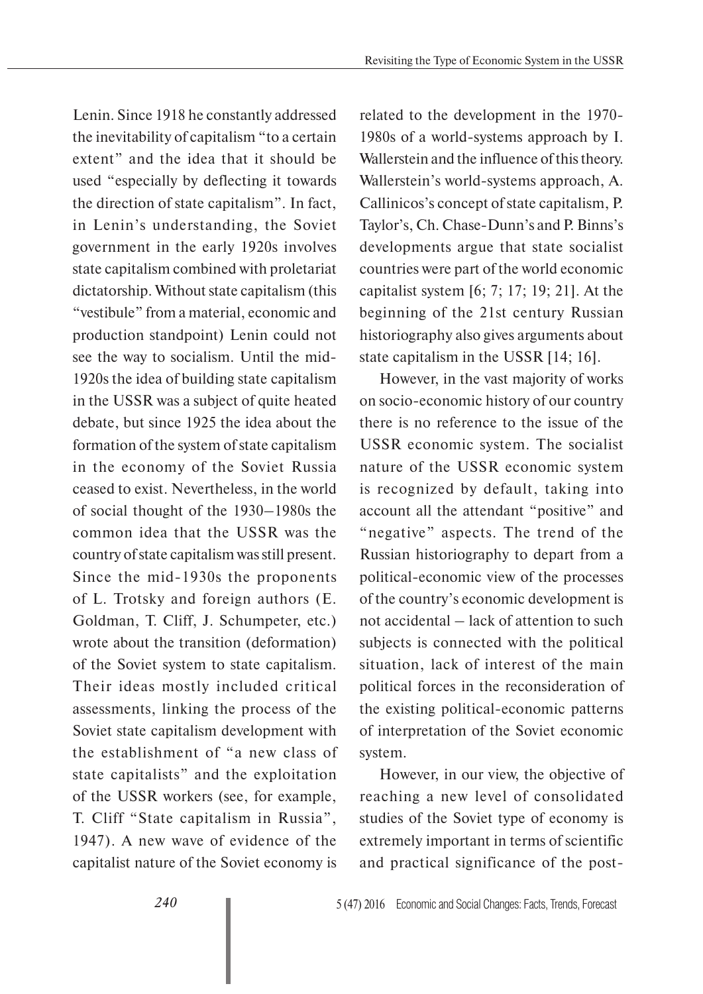Lenin. Since 1918 he constantly addressed the inevitability of capitalism "to a certain extent" and the idea that it should be used "especially by deflecting it towards the direction of state capitalism". In fact, in Lenin's understanding, the Soviet government in the early 1920s involves state capitalism combined with proletariat dictatorship. Without state capitalism (this "vestibule" from a material, economic and production standpoint) Lenin could not see the way to socialism. Until the mid-1920s the idea of building state capitalism in the USSR was a subject of quite heated debate, but since 1925 the idea about the formation of the system of state capitalism in the economy of the Soviet Russia ceased to exist. Nevertheless, in the world of social thought of the 1930–1980s the common idea that the USSR was the country of state capitalism was still present. Since the mid-1930s the proponents of L. Trotsky and foreign authors (E. Goldman, T. Cliff, J. Schumpeter, etc.) wrote about the transition (deformation) of the Soviet system to state capitalism. Their ideas mostly included critical assessments, linking the process of the Soviet state capitalism development with the establishment of "a new class of state capitalists" and the exploitation of the USSR workers (see, for example, T. Cliff "State capitalism in Russia", 1947). A new wave of evidence of the capitalist nature of the Soviet economy is

related to the development in the 1970- 1980s of a world-systems approach by I. Wallerstein and the influence of this theory. Wallerstein's world-systems approach, A. Callinicos's concept of state capitalism, P. Taylor's, Ch. Chase-Dunn's and P. Binns's developments argue that state socialist countries were part of the world economic capitalist system [6; 7; 17; 19; 21]. At the beginning of the 21st century Russian historiography also gives arguments about state capitalism in the USSR [14; 16].

However, in the vast majority of works on socio-economic history of our country there is no reference to the issue of the USSR economic system. The socialist nature of the USSR economic system is recognized by default, taking into account all the attendant "positive" and "negative" aspects. The trend of the Russian historiography to depart from a political-economic view of the processes of the country's economic development is not accidental – lack of attention to such subjects is connected with the political situation, lack of interest of the main political forces in the reconsideration of the existing political-economic patterns of interpretation of the Soviet economic system.

However, in our view, the objective of reaching a new level of consolidated studies of the Soviet type of economy is extremely important in terms of scientific and practical significance of the post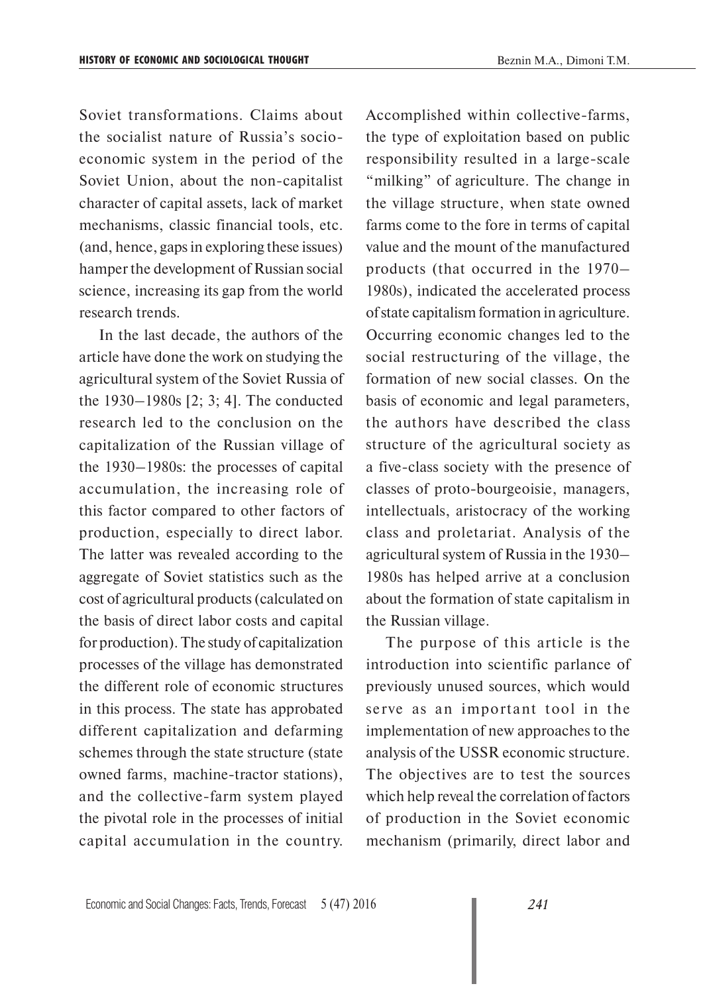Soviet transformations. Claims about the socialist nature of Russia's socioeconomic system in the period of the Soviet Union, about the non-capitalist character of capital assets, lack of market mechanisms, classic financial tools, etc. (and, hence, gaps in exploring these issues) hamper the development of Russian social science, increasing its gap from the world research trends.

In the last decade, the authors of the article have done the work on studying the agricultural system of the Soviet Russia of the 1930–1980s [2; 3; 4]. The conducted research led to the conclusion on the capitalization of the Russian village of the 1930–1980s: the processes of capital accumulation, the increasing role of this factor compared to other factors of production, especially to direct labor. The latter was revealed according to the aggregate of Soviet statistics such as the cost of agricultural products (calculated on the basis of direct labor costs and capital for production). The study of capitalization processes of the village has demonstrated the different role of economic structures in this process. The state has approbated different capitalization and defarming schemes through the state structure (state owned farms, machine-tractor stations), and the collective-farm system played the pivotal role in the processes of initial capital accumulation in the country.

Accomplished within collective-farms, the type of exploitation based on public responsibility resulted in a large-scale "milking" of agriculture. The change in the village structure, when state owned farms come to the fore in terms of capital value and the mount of the manufactured products (that occurred in the 1970– 1980s), indicated the accelerated process of state capitalism formation in agriculture. Occurring economic changes led to the social restructuring of the village, the formation of new social classes. On the basis of economic and legal parameters, the authors have described the class structure of the agricultural society as a five-class society with the presence of classes of proto-bourgeoisie, managers, intellectuals, aristocracy of the working class and proletariat. Analysis of the agricultural system of Russia in the 1930– 1980s has helped arrive at a conclusion about the formation of state capitalism in the Russian village.

The purpose of this article is the introduction into scientific parlance of previously unused sources, which would serve as an important tool in the implementation of new approaches to the analysis of the USSR economic structure. The objectives are to test the sources which help reveal the correlation of factors of production in the Soviet economic mechanism (primarily, direct labor and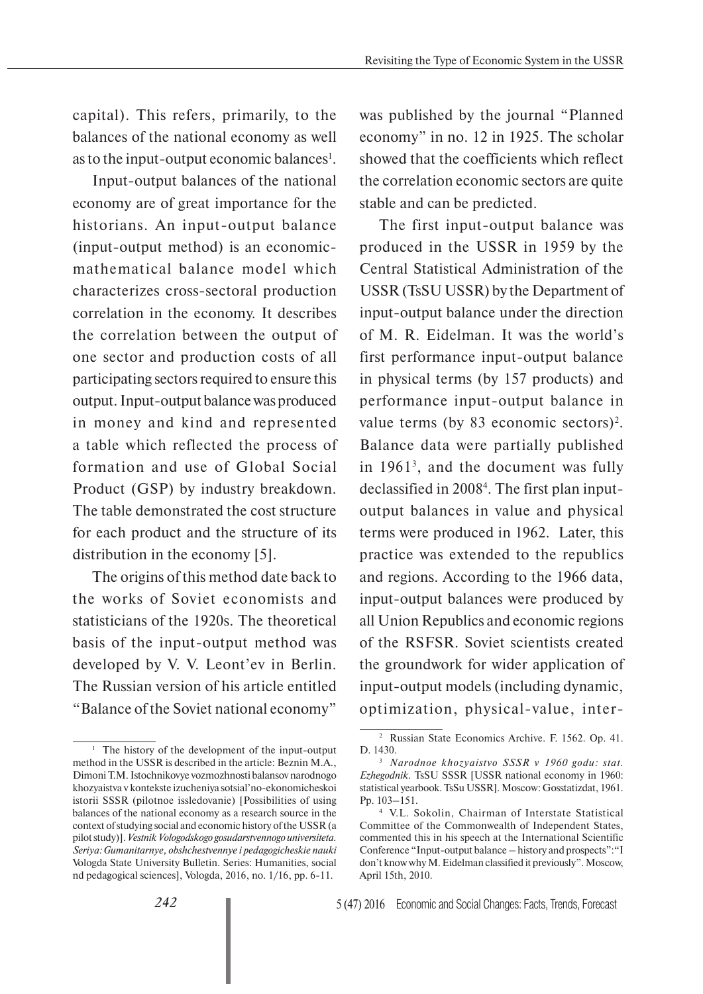capital). This refers, primarily, to the balances of the national economy as well as to the input-output economic balances<sup>1</sup>.

Input-output balances of the national economy are of great importance for the historians. An input-output balance (input-output method) is an economicmathematical balance model which characterizes cross-sectoral production correlation in the economy. It describes the correlation between the output of one sector and production costs of all participating sectors required to ensure this output. Input-output balance was produced in money and kind and represented a table which reflected the process of formation and use of Global Social Product (GSP) by industry breakdown. The table demonstrated the cost structure for each product and the structure of its distribution in the economy [5].

The origins of this method date back to the works of Soviet economists and statisticians of the 1920s. The theoretical basis of the input-output method was developed by V. V. Leont'ev in Berlin. The Russian version of his article entitled "Balance of the Soviet national economy"

was published by the journal "Planned economy" in no. 12 in 1925. The scholar showed that the coefficients which reflect the correlation economic sectors are quite stable and can be predicted.

The first input-output balance was produced in the USSR in 1959 by the Central Statistical Administration of the USSR (TsSU USSR) by the Department of input-output balance under the direction of M. R. Eidelman. It was the world's first performance input-output balance in physical terms (by 157 products) and performance input-output balance in value terms (by 83 economic sectors)<sup>2</sup>. Balance data were partially published in 19613 , and the document was fully declassified in 20084 . The first plan inputoutput balances in value and physical terms were produced in 1962. Later, this practice was extended to the republics and regions. According to the 1966 data, input-output balances were produced by all Union Republics and economic regions of the RSFSR. Soviet scientists created the groundwork for wider application of input-output models (including dynamic, optimization, physical-value, inter-

<sup>&</sup>lt;sup>1</sup> The history of the development of the input-output method in the USSR is described in the article: Beznin M.A., Dimoni T.M. Istochnikovye vozmozhnosti balansov narodnogo khozyaistva v kontekste izucheniya sotsial'no-ekonomicheskoi istorii SSSR (pilotnoe issledovanie) [Possibilities of using balances of the national economy as a research source in the context of studying social and economic history of the USSR (a pilot study)]. *Vestnik Vologodskogo gosudarstvennogo universiteta. Seriya: Gumanitarnye, obshchestvennye i pedagogicheskie nauki*  Vologda State University Bulletin. Series: Humanities, social nd pedagogical sciences], Vologda, 2016, no. 1/16, pp. 6-11.

<sup>2</sup> Russian State Economics Archive. F. 1562. Op. 41. D. 1430. 3 *Narodnoe khozyaistvo SSSR v 1960 godu: stat.* 

*Ezhegodnik.* TsSU SSSR [USSR national economy in 1960: statistical yearbook. TsSu USSR]. Moscow: Gosstatizdat, 1961. Pp. 103–151.

<sup>4</sup> V.L. Sokolin, Chairman of Interstate Statistical Committee of the Commonwealth of Independent States, commented this in his speech at the International Scientific Conference "Input-output balance – history and prospects":"I don't know why M. Eidelman classified it previously". Moscow, April 15th, 2010.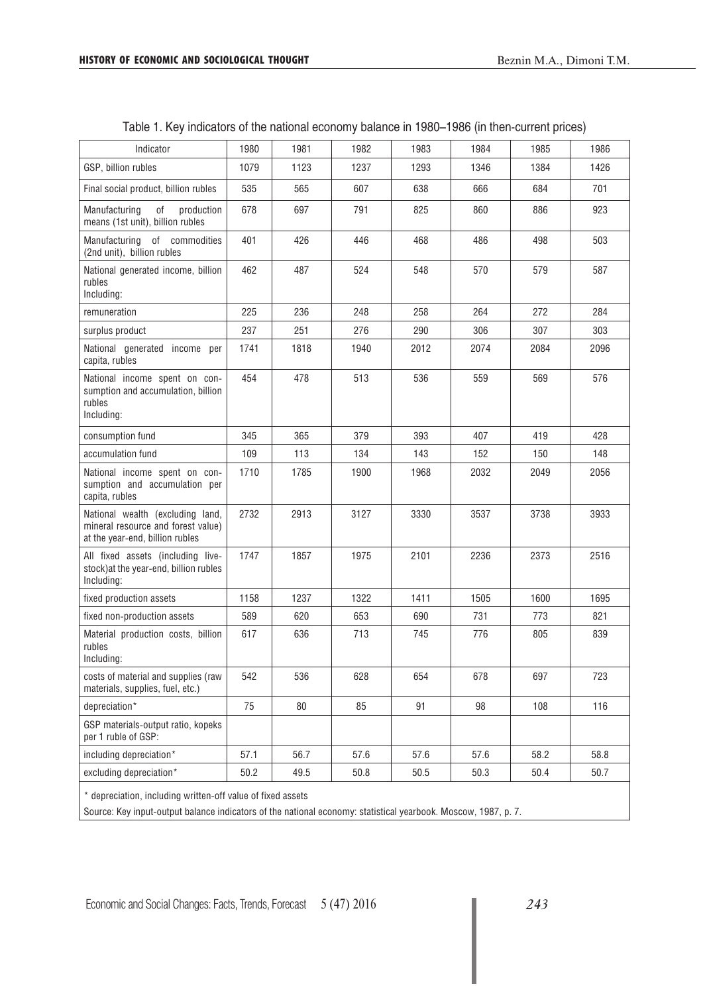| Indicator                                                                                                 | 1980 | 1981 | 1982 | 1983 | 1984 | 1985 | 1986 |
|-----------------------------------------------------------------------------------------------------------|------|------|------|------|------|------|------|
| GSP, billion rubles                                                                                       | 1079 | 1123 | 1237 | 1293 | 1346 | 1384 | 1426 |
| Final social product, billion rubles                                                                      | 535  | 565  | 607  | 638  | 666  | 684  | 701  |
| Manufacturing<br>оf<br>production<br>means (1st unit), billion rubles                                     | 678  | 697  | 791  | 825  | 860  | 886  | 923  |
| of commodities<br>Manufacturing<br>(2nd unit), billion rubles                                             | 401  | 426  | 446  | 468  | 486  | 498  | 503  |
| National generated income, billion<br>rubles<br>Including:                                                | 462  | 487  | 524  | 548  | 570  | 579  | 587  |
| remuneration                                                                                              | 225  | 236  | 248  | 258  | 264  | 272  | 284  |
| surplus product                                                                                           | 237  | 251  | 276  | 290  | 306  | 307  | 303  |
| National generated income per<br>capita, rubles                                                           | 1741 | 1818 | 1940 | 2012 | 2074 | 2084 | 2096 |
| National income spent on con-<br>sumption and accumulation, billion<br>rubles<br>Including:               | 454  | 478  | 513  | 536  | 559  | 569  | 576  |
| consumption fund                                                                                          | 345  | 365  | 379  | 393  | 407  | 419  | 428  |
| accumulation fund                                                                                         | 109  | 113  | 134  | 143  | 152  | 150  | 148  |
| National income spent on con-<br>sumption and accumulation per<br>capita, rubles                          | 1710 | 1785 | 1900 | 1968 | 2032 | 2049 | 2056 |
| National wealth (excluding land,<br>mineral resource and forest value)<br>at the year-end, billion rubles | 2732 | 2913 | 3127 | 3330 | 3537 | 3738 | 3933 |
| All fixed assets (including live-<br>stock) at the year-end, billion rubles<br>Including:                 | 1747 | 1857 | 1975 | 2101 | 2236 | 2373 | 2516 |
| fixed production assets                                                                                   | 1158 | 1237 | 1322 | 1411 | 1505 | 1600 | 1695 |
| fixed non-production assets                                                                               | 589  | 620  | 653  | 690  | 731  | 773  | 821  |
| Material production costs, billion<br>rubles<br>Including:                                                | 617  | 636  | 713  | 745  | 776  | 805  | 839  |
| costs of material and supplies (raw<br>materials, supplies, fuel, etc.)                                   | 542  | 536  | 628  | 654  | 678  | 697  | 723  |
| depreciation*                                                                                             | 75   | 80   | 85   | 91   | 98   | 108  | 116  |
| GSP materials-output ratio, kopeks<br>per 1 ruble of GSP:                                                 |      |      |      |      |      |      |      |
| including depreciation*                                                                                   | 57.1 | 56.7 | 57.6 | 57.6 | 57.6 | 58.2 | 58.8 |
| excluding depreciation*                                                                                   | 50.2 | 49.5 | 50.8 | 50.5 | 50.3 | 50.4 | 50.7 |
| * depreciation, including written-off value of fixed assets                                               |      |      |      |      |      |      |      |

| Table 1. Key indicators of the national economy balance in 1980–1986 (in then-current prices) |  |  |
|-----------------------------------------------------------------------------------------------|--|--|
|-----------------------------------------------------------------------------------------------|--|--|

\* depreciation, including written-off value of fixed assets

Source: Key input-output balance indicators of the national economy: statistical yearbook. Moscow, 1987, p. 7.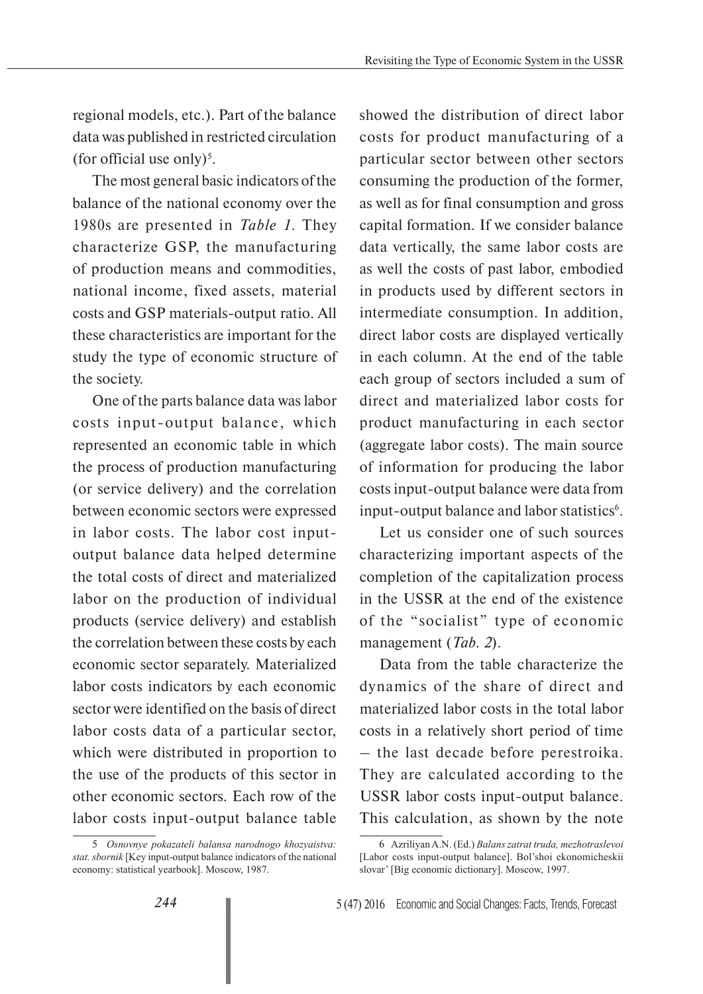regional models, etc.). Part of the balance data was published in restricted circulation (for official use only)<sup>5</sup>.

The most general basic indicators of the balance of the national economy over the 1980s are presented in *Table 1*. They characterize GSP, the manufacturing of production means and commodities, national income, fixed assets, material costs and GSP materials-output ratio. All these characteristics are important for the study the type of economic structure of the society.

One of the parts balance data was labor costs input-output balance, which represented an economic table in which the process of production manufacturing (or service delivery) and the correlation between economic sectors were expressed in labor costs. The labor cost inputoutput balance data helped determine the total costs of direct and materialized labor on the production of individual products (service delivery) and establish the correlation between these costs by each economic sector separately. Materialized labor costs indicators by each economic sector were identified on the basis of direct labor costs data of a particular sector, which were distributed in proportion to the use of the products of this sector in other economic sectors. Each row of the labor costs input-output balance table

showed the distribution of direct labor costs for product manufacturing of a particular sector between other sectors consuming the production of the former, as well as for final consumption and gross capital formation. If we consider balance data vertically, the same labor costs are as well the costs of past labor, embodied in products used by different sectors in intermediate consumption. In addition, direct labor costs are displayed vertically in each column. At the end of the table each group of sectors included a sum of direct and materialized labor costs for product manufacturing in each sector (aggregate labor costs). The main source of information for producing the labor costs input-output balance were data from input-output balance and labor statistics<sup>6</sup>.

Let us consider one of such sources characterizing important aspects of the completion of the capitalization process in the USSR at the end of the existence of the "socialist" type of economic management (*Tab. 2*).

Data from the table characterize the dynamics of the share of direct and materialized labor costs in the total labor costs in a relatively short period of time – the last decade before perestroika. They are calculated according to the USSR labor costs input-output balance. This calculation, as shown by the note

<sup>5</sup> *Osnovnye pokazateli balansa narodnogo khozyaistva: stat. sbornik* [Key input-output balance indicators of the national economy: statistical yearbook]. Moscow, 1987.

<sup>6</sup> Azriliyan A.N. (Ed.) *Balans zatrat truda, mezhotraslevoi* [Labor costs input-output balance]. Bol'shoi ekonomicheskii slovar' [Big economic dictionary]. Moscow, 1997.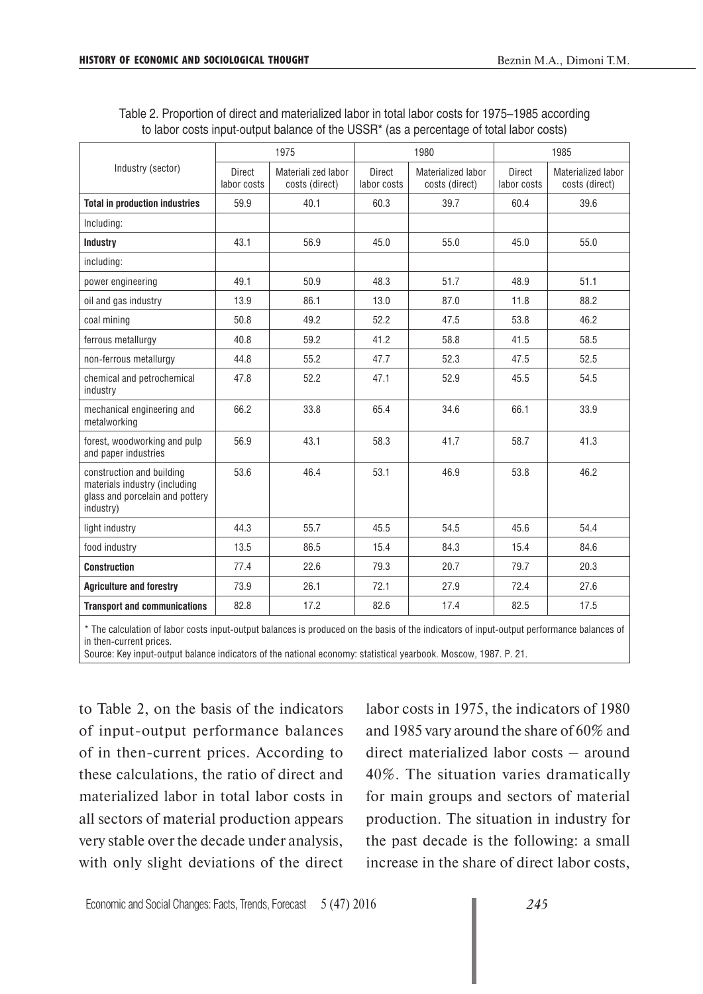Table 2. Proportion of direct and materialized labor in total labor costs for 1975–1985 according to labor costs input-output balance of the USSR\* (as a percentage of total labor costs)

|                                                                                                                               | 1975                  |                                       |                              | 1980                                 | 1985                         |                                      |
|-------------------------------------------------------------------------------------------------------------------------------|-----------------------|---------------------------------------|------------------------------|--------------------------------------|------------------------------|--------------------------------------|
| Industry (sector)                                                                                                             | Direct<br>labor costs | Materiali zed labor<br>costs (direct) | <b>Direct</b><br>labor costs | Materialized labor<br>costs (direct) | <b>Direct</b><br>labor costs | Materialized labor<br>costs (direct) |
| <b>Total in production industries</b>                                                                                         | 59.9                  | 40.1                                  | 60.3                         | 39.7                                 | 60.4                         | 39.6                                 |
| Including:                                                                                                                    |                       |                                       |                              |                                      |                              |                                      |
| <b>Industry</b>                                                                                                               | 43.1                  | 56.9                                  | 45.0                         | 55.0                                 | 45.0                         | 55.0                                 |
| including:                                                                                                                    |                       |                                       |                              |                                      |                              |                                      |
| power engineering                                                                                                             | 49.1                  | 50.9                                  | 48.3                         | 51.7                                 | 48.9                         | 51.1                                 |
| oil and gas industry                                                                                                          | 13.9                  | 86.1                                  | 13.0                         | 87.0                                 | 11.8                         | 88.2                                 |
| coal mining                                                                                                                   | 50.8                  | 49.2                                  | 52.2                         | 47.5                                 | 53.8                         | 46.2                                 |
| ferrous metallurgy                                                                                                            | 40.8                  | 59.2                                  | 41.2                         | 58.8                                 | 41.5                         | 58.5                                 |
| non-ferrous metallurgy                                                                                                        | 44.8                  | 55.2                                  | 47.7                         | 52.3                                 | 47.5                         | 52.5                                 |
| chemical and petrochemical<br>industry                                                                                        | 47.8                  | 52.2                                  | 47.1                         | 52.9                                 | 45.5                         | 54.5                                 |
| mechanical engineering and<br>metalworking                                                                                    | 66.2                  | 33.8                                  | 65.4                         | 34.6                                 | 66.1                         | 33.9                                 |
| forest, woodworking and pulp<br>and paper industries                                                                          | 56.9                  | 43.1                                  | 58.3                         | 41.7                                 | 58.7                         | 41.3                                 |
| construction and building<br>materials industry (including<br>glass and porcelain and pottery<br>industry)                    | 53.6                  | 46.4                                  | 53.1                         | 46.9                                 | 53.8                         | 46.2                                 |
| light industry                                                                                                                | 44.3                  | 55.7                                  | 45.5                         | 54.5                                 | 45.6                         | 54.4                                 |
| food industry                                                                                                                 | 13.5                  | 86.5                                  | 15.4                         | 84.3                                 | 15.4                         | 84.6                                 |
| <b>Construction</b>                                                                                                           | 77.4                  | 22.6                                  | 79.3                         | 20.7                                 | 79.7                         | 20.3                                 |
| <b>Agriculture and forestry</b>                                                                                               | 73.9                  | 26.1                                  | 72.1                         | 27.9                                 | 72.4                         | 27.6                                 |
| <b>Transport and communications</b>                                                                                           | 82.8                  | 17.2                                  | 82.6                         | 17.4                                 | 82.5                         | 17.5                                 |
| * The extendation of labor seats input puturek holomoog is nuaduread on the bools of the indicatous of input cuturut parts we |                       |                                       |                              |                                      |                              | مممومامط مموم                        |

The calculation of labor costs input-output balances is produced on the basis of the indicators of input-output performance balances of in then-current prices.

Source: Key input-output balance indicators of the national economy: statistical yearbook. Moscow, 1987. P. 21.

to Table 2, on the basis of the indicators of input-output performance balances of in then-current prices. According to these calculations, the ratio of direct and materialized labor in total labor costs in all sectors of material production appears very stable over the decade under analysis, with only slight deviations of the direct

labor costs in 1975, the indicators of 1980 and 1985 vary around the share of 60% and direct materialized labor costs – around 40%. The situation varies dramatically for main groups and sectors of material production. The situation in industry for the past decade is the following: a small increase in the share of direct labor costs,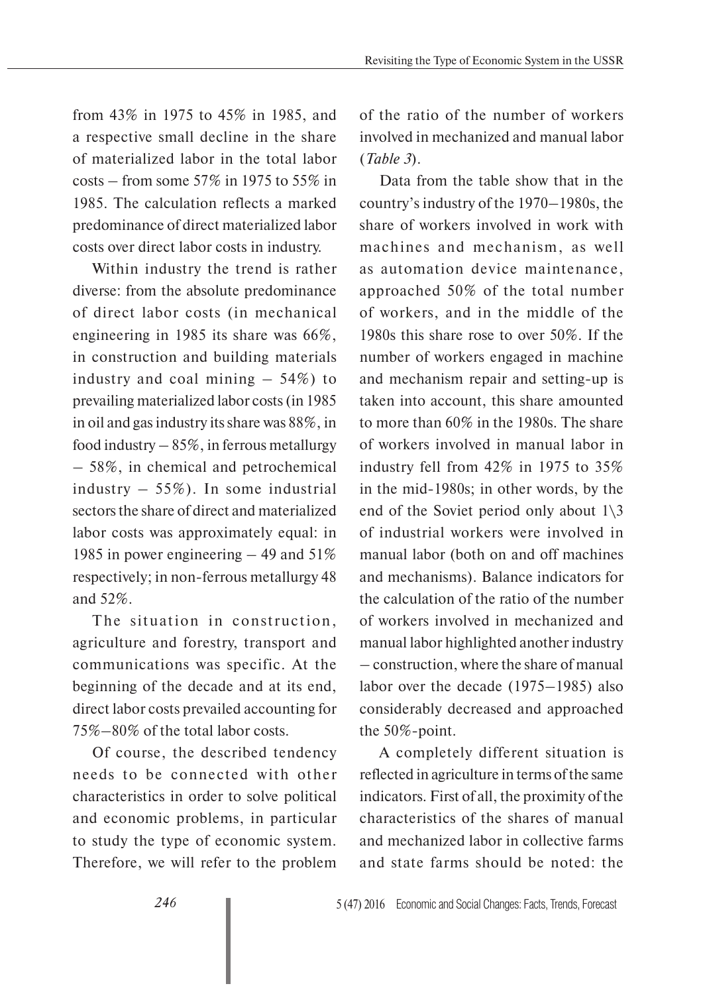from 43% in 1975 to 45% in 1985, and a respective small decline in the share of materialized labor in the total labor  $costs - from some 57\% in 1975 to 55\% in$ 1985. The calculation reflects a marked predominance of direct materialized labor costs over direct labor costs in industry.

Within industry the trend is rather diverse: from the absolute predominance of direct labor costs (in mechanical engineering in 1985 its share was 66%, in construction and building materials industry and coal mining  $-54\%$ ) to prevailing materialized labor costs (in 1985 in oil and gas industry its share was 88%, in food industry  $-85\%$ , in ferrous metallurgy – 58%, in chemical and petrochemical industry  $-55\%$ ). In some industrial sectors the share of direct and materialized labor costs was approximately equal: in 1985 in power engineering – 49 and 51% respectively; in non-ferrous metallurgy 48 and 52%.

The situation in construction, agriculture and forestry, transport and communications was specific. At the beginning of the decade and at its end, direct labor costs prevailed accounting for 75%–80% of the total labor costs.

Of course, the described tendency needs to be connected with other characteristics in order to solve political and economic problems, in particular to study the type of economic system. Therefore, we will refer to the problem

of the ratio of the number of workers involved in mechanized and manual labor (*Table 3*).

Data from the table show that in the country's industry of the 1970–1980s, the share of workers involved in work with machines and mechanism, as well as automation device maintenance, approached 50% of the total number of workers, and in the middle of the 1980s this share rose to over 50%. If the number of workers engaged in machine and mechanism repair and setting-up is taken into account, this share amounted to more than 60% in the 1980s. The share of workers involved in manual labor in industry fell from 42% in 1975 to 35% in the mid-1980s; in other words, by the end of the Soviet period only about 1\3 of industrial workers were involved in manual labor (both on and off machines and mechanisms). Balance indicators for the calculation of the ratio of the number of workers involved in mechanized and manual labor highlighted another industry – construction, where the share of manual labor over the decade (1975–1985) also considerably decreased and approached the 50%-point.

A completely different situation is reflected in agriculture in terms of the same indicators. First of all, the proximity of the characteristics of the shares of manual and mechanized labor in collective farms and state farms should be noted: the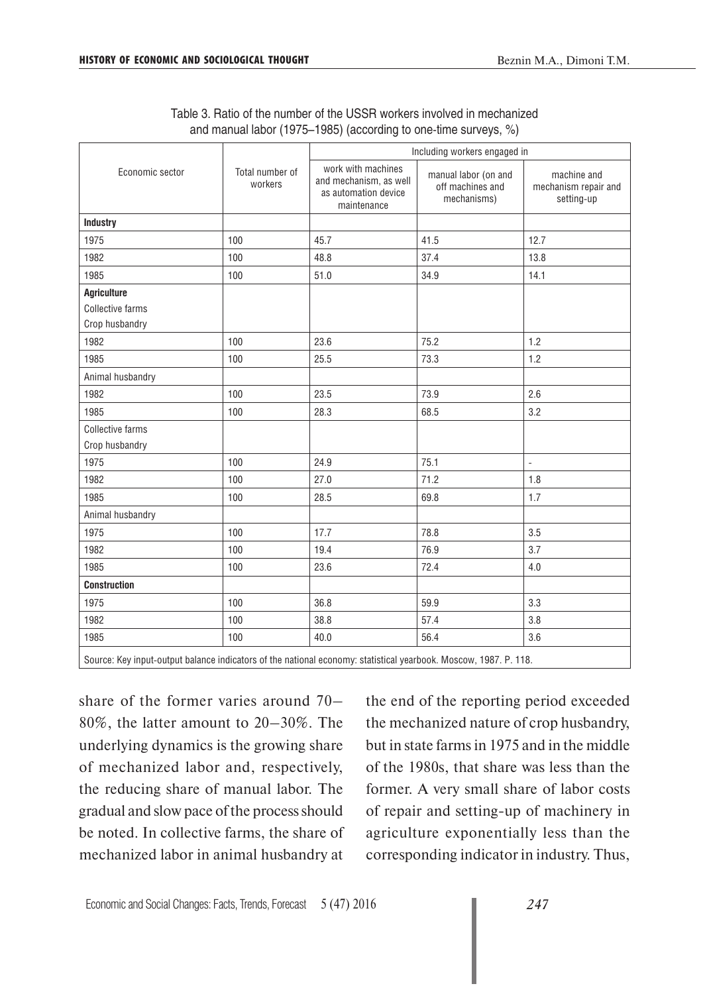| Table 3. Ratio of the number of the USSR workers involved in mechanized |
|-------------------------------------------------------------------------|
| and manual labor (1975–1985) (according to one-time surveys, %)         |

|                         |                            | Including workers engaged in                                                        |                                                         |                                                   |  |  |
|-------------------------|----------------------------|-------------------------------------------------------------------------------------|---------------------------------------------------------|---------------------------------------------------|--|--|
| Economic sector         | Total number of<br>workers | work with machines<br>and mechanism, as well<br>as automation device<br>maintenance | manual labor (on and<br>off machines and<br>mechanisms) | machine and<br>mechanism repair and<br>setting-up |  |  |
| <b>Industry</b>         |                            |                                                                                     |                                                         |                                                   |  |  |
| 1975                    | 100                        | 45.7                                                                                | 41.5                                                    | 12.7                                              |  |  |
| 1982                    | 100                        | 48.8                                                                                | 37.4                                                    | 13.8                                              |  |  |
| 1985                    | 100                        | 51.0                                                                                | 34.9                                                    | 14.1                                              |  |  |
| <b>Agriculture</b>      |                            |                                                                                     |                                                         |                                                   |  |  |
| Collective farms        |                            |                                                                                     |                                                         |                                                   |  |  |
| Crop husbandry          |                            |                                                                                     |                                                         |                                                   |  |  |
| 1982                    | 100                        | 23.6                                                                                | 75.2                                                    | 1.2                                               |  |  |
| 1985                    | 100                        | 25.5                                                                                | 73.3                                                    | 1.2                                               |  |  |
| Animal husbandry        |                            |                                                                                     |                                                         |                                                   |  |  |
| 1982                    | 100                        | 23.5                                                                                | 73.9                                                    | 2.6                                               |  |  |
| 1985                    | 100                        | 28.3                                                                                | 68.5                                                    | 3.2                                               |  |  |
| <b>Collective farms</b> |                            |                                                                                     |                                                         |                                                   |  |  |
| Crop husbandry          |                            |                                                                                     |                                                         |                                                   |  |  |
| 1975                    | 100                        | 24.9                                                                                | 75.1                                                    | $\frac{1}{2}$                                     |  |  |
| 1982                    | 100                        | 27.0                                                                                | 71.2                                                    | 1.8                                               |  |  |
| 1985                    | 100                        | 28.5                                                                                | 69.8                                                    | 1.7                                               |  |  |
| Animal husbandry        |                            |                                                                                     |                                                         |                                                   |  |  |
| 1975                    | 100                        | 17.7                                                                                | 78.8                                                    | 3.5                                               |  |  |
| 1982                    | 100                        | 19.4                                                                                | 76.9                                                    | 3.7                                               |  |  |
| 1985                    | 100                        | 23.6                                                                                | 72.4                                                    | 4.0                                               |  |  |
| <b>Construction</b>     |                            |                                                                                     |                                                         |                                                   |  |  |
| 1975                    | 100                        | 36.8                                                                                | 59.9                                                    | 3.3                                               |  |  |
| 1982                    | 100                        | 38.8                                                                                | 57.4                                                    | 3.8                                               |  |  |
| 1985                    | 100                        | 40.0                                                                                | 56.4                                                    | 3.6                                               |  |  |

Source: Key input-output balance indicators of the national economy: statistical yearbook. Moscow, 1987. P. 118.

share of the former varies around 70– 80%, the latter amount to 20–30%. The underlying dynamics is the growing share of mechanized labor and, respectively, the reducing share of manual labor. The gradual and slow pace of the process should be noted. In collective farms, the share of mechanized labor in animal husbandry at

the end of the reporting period exceeded the mechanized nature of crop husbandry, but in state farms in 1975 and in the middle of the 1980s, that share was less than the former. A very small share of labor costs of repair and setting-up of machinery in agriculture exponentially less than the corresponding indicator in industry. Thus,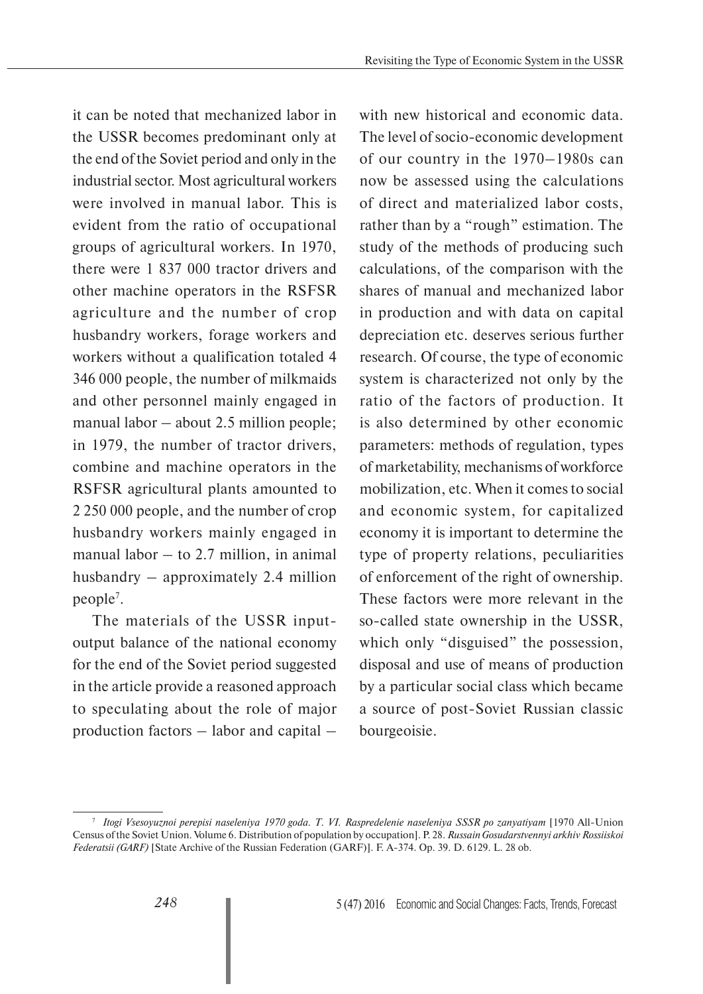it can be noted that mechanized labor in the USSR becomes predominant only at the end of the Soviet period and only in the industrial sector. Most agricultural workers were involved in manual labor. This is evident from the ratio of occupational groups of agricultural workers. In 1970, there were 1 837 000 tractor drivers and other machine operators in the RSFSR agriculture and the number of crop husbandry workers, forage workers and workers without a qualification totaled 4 346 000 people, the number of milkmaids and other personnel mainly engaged in manual labor – about 2.5 million people; in 1979, the number of tractor drivers, combine and machine operators in the RSFSR agricultural plants amounted to 2 250 000 people, and the number of crop husbandry workers mainly engaged in manual labor  $-$  to 2.7 million, in animal husbandry – approximately 2.4 million people7 .

The materials of the USSR inputoutput balance of the national economy for the end of the Soviet period suggested in the article provide a reasoned approach to speculating about the role of major production factors – labor and capital – with new historical and economic data. The level of socio-economic development of our country in the 1970–1980s can now be assessed using the calculations of direct and materialized labor costs, rather than by a "rough" estimation. The study of the methods of producing such calculations, of the comparison with the shares of manual and mechanized labor in production and with data on capital depreciation etc. deserves serious further research. Of course, the type of economic system is characterized not only by the ratio of the factors of production. It is also determined by other economic parameters: methods of regulation, types of marketability, mechanisms of workforce mobilization, etc. When it comes to social and economic system, for capitalized economy it is important to determine the type of property relations, peculiarities of enforcement of the right of ownership. These factors were more relevant in the so-called state ownership in the USSR, which only "disguised" the possession, disposal and use of means of production by a particular social class which became a source of post-Soviet Russian classic bourgeoisie.

<sup>7</sup>*Itogi Vsesoyuznoi perepisi naseleniya 1970 goda. T. VI. Raspredelenie naseleniya SSSR po zanyatiyam* [1970 All-Union Census of the Soviet Union. Volume 6. Distribution of population by occupation]. P. 28. *Russain Gosudarstvennyi arkhiv Rossiiskoi Federatsii (GARF)* [State Archive of the Russian Federation (GARF)]. F. А-374. Op. 39. D. 6129. L. 28 ob.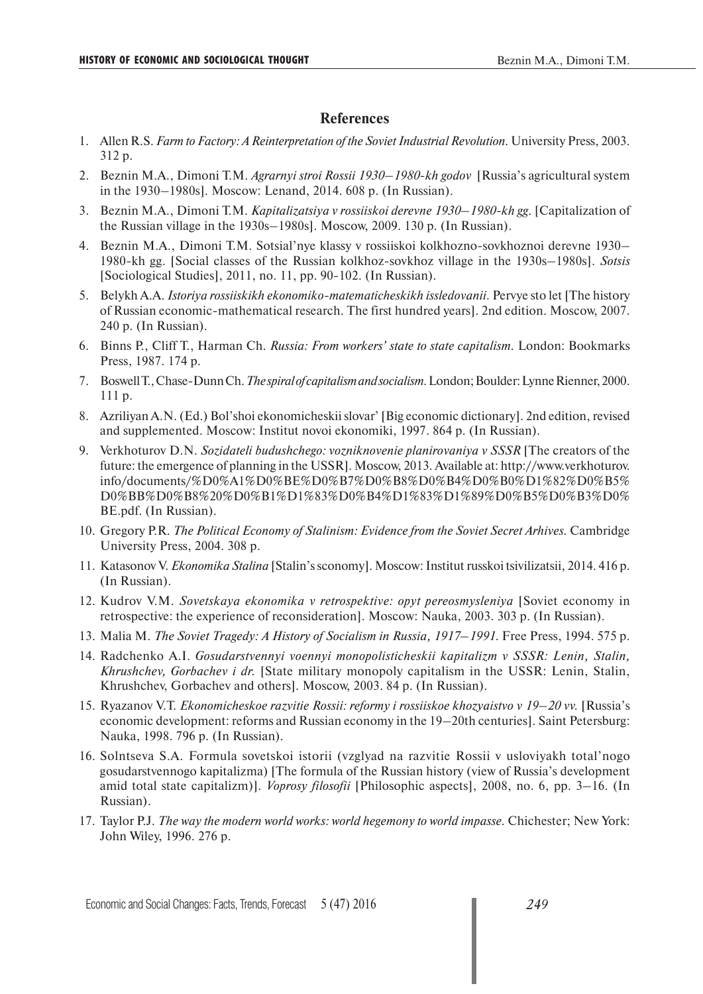## **References**

- 1. Allen R.S. *Farm to Factory: A Reinterpretation of the Soviet Industrial Revolution.* University Press, 2003. 312 p.
- 2. Beznin M.A., Dimoni T.M. *Agrarnyi stroi Rossii 1930–1980-kh godov* [Russia's agricultural system in the 1930–1980s]. Moscow: Lenand, 2014. 608 p. (In Russian).
- 3. Beznin M.A., Dimoni T.M. *Kapitalizatsiya v rossiiskoi derevne 1930–1980-kh gg.* [Capitalization of the Russian village in the 1930s–1980s]. Moscow, 2009. 130 p. (In Russian).
- 4. Beznin M.A., Dimoni T.M. Sotsial'nye klassy v rossiiskoi kolkhozno-sovkhoznoi derevne 1930– 1980-kh gg. [Social classes of the Russian kolkhoz-sovkhoz village in the 1930s–1980s]. *Sotsis* [Sociological Studies], 2011, no. 11, pp. 90-102. (In Russian).
- 5. Belykh A.A. *Istoriya rossiiskikh ekonomiko-matematicheskikh issledovanii.* Pervye sto let [The history of Russian economic-mathematical research. The first hundred years]. 2nd edition. Moscow, 2007. 240 p. (In Russian).
- 6. Binns P., Cliff T., Harman Ch. *Russia: From workers' state to state capitalism.* London: Bookmarks Press, 1987. 174 p.
- 7. Boswell T., Chase-Dunn Ch. *The spiral of capitalism and socialism.* London; Boulder: Lynne Rienner, 2000. 111 p.
- 8. Azriliyan A.N. (Ed.) Bol'shoi ekonomicheskii slovar' [Big economic dictionary]. 2nd edition, revised and supplemented. Moscow: Institut novoi ekonomiki, 1997. 864 p. (In Russian).
- 9. Verkhoturov D.N. *Sozidateli budushchego: vozniknovenie planirovaniya v SSSR* [The creators of the future: the emergence of planning in the USSR]. Moscow, 2013. Available at: http://www.verkhoturov. info/documents/%D0%A1%D0%BE%D0%B7%D0%B8%D0%B4%D0%B0%D1%82%D0%B5% D0%BB%D0%B8%20%D0%B1%D1%83%D0%B4%D1%83%D1%89%D0%B5%D0%B3%D0% BE.pdf. (In Russian).
- 10. Gregory P.R. *The Political Economy of Stalinism: Evidence from the Soviet Secret Arhives.* Cambridge University Press, 2004. 308 p.
- 11. Katasonov V. *Ekonomika Stalina* [Stalin's sconomy]. Moscow: Institut russkoi tsivilizatsii, 2014. 416 p. (In Russian).
- 12. Kudrov V.M. *Sovetskaya ekonomika v retrospektive: opyt pereosmysleniya* [Soviet economy in retrospective: the experience of reconsideration]. Moscow: Nauka, 2003. 303 p. (In Russian).
- 13. Malia M. *The Soviet Tragedy: A History of Socialism in Russia, 1917–1991*. Free Press, 1994. 575 p.
- 14. Radchenko A.I. *Gosudarstvennyi voennyi monopolisticheskii kapitalizm v SSSR: Lenin, Stalin, Khrushchev, Gorbachev i dr.* [State military monopoly capitalism in the USSR: Lenin, Stalin, Khrushchev, Gorbachev and others]. Moscow, 2003. 84 p. (In Russian).
- 15. Ryazanov V.T. *Ekonomicheskoe razvitie Rossii: reformy i rossiiskoe khozyaistvo v 19–20 vv.* [Russia's economic development: reforms and Russian economy in the 19–20th centuries]. Saint Petersburg: Nauka, 1998. 796 p. (In Russian).
- 16. Solntseva S.A. Formula sovetskoi istorii (vzglyad na razvitie Rossii v usloviyakh total'nogo gosudarstvennogo kapitalizma) [The formula of the Russian history (view of Russia's development amid total state capitalizm)]. *Voprosy filosofii* [Philosophic aspects], 2008, no. 6, pp. 3–16. (In Russian).
- 17. Taylor P.J. *The way the modern world works: world hegemony to world impasse.* Chichester; New York: John Wiley, 1996. 276 p.